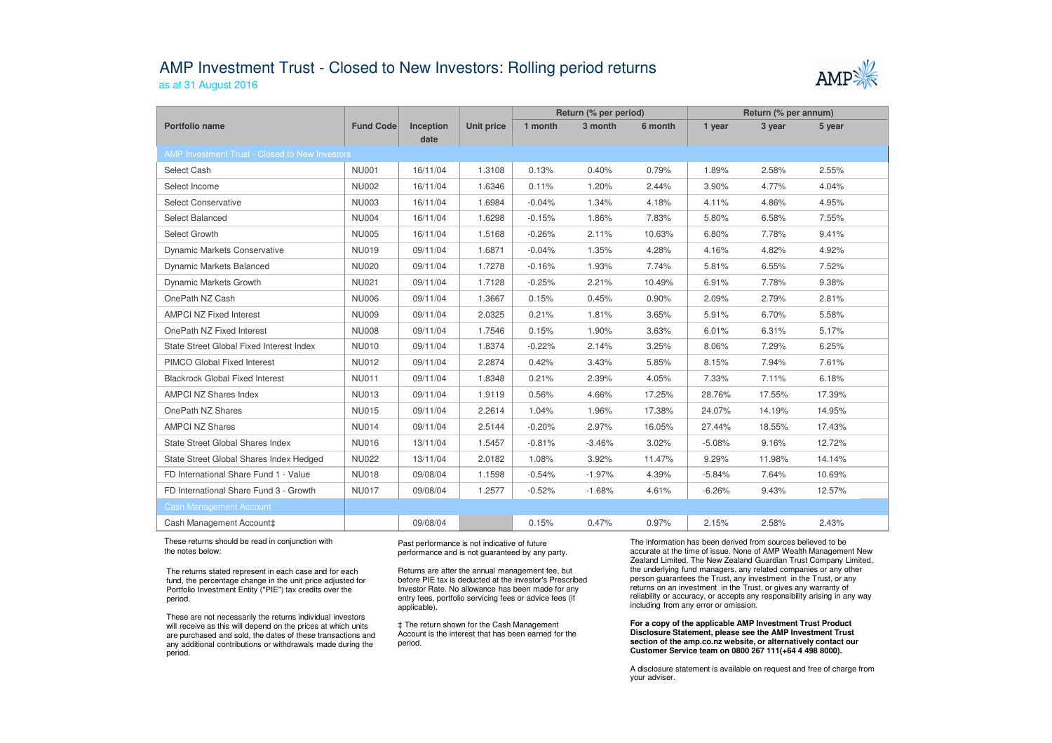## AMP Investment Trust - Closed to New Investors: Rolling period returnsas at 31 August 2016



|                                                |              |           |                   | Return (% per period) |          |         | Return (% per annum) |        |        |  |  |
|------------------------------------------------|--------------|-----------|-------------------|-----------------------|----------|---------|----------------------|--------|--------|--|--|
| Portfolio name                                 | Fund Code    | Inception | <b>Unit price</b> | 1 month               | 3 month  | 6 month | 1 year               | 3 year | 5 year |  |  |
|                                                |              | date      |                   |                       |          |         |                      |        |        |  |  |
| AMP Investment Trust - Closed to New Investors |              |           |                   |                       |          |         |                      |        |        |  |  |
| Select Cash                                    | <b>NU001</b> | 16/11/04  | 1.3108            | 0.13%                 | 0.40%    | 0.79%   | 1.89%                | 2.58%  | 2.55%  |  |  |
| Select Income                                  | <b>NU002</b> | 16/11/04  | 1.6346            | 0.11%                 | 1.20%    | 2.44%   | 3.90%                | 4.77%  | 4.04%  |  |  |
| Select Conservative                            | <b>NU003</b> | 16/11/04  | 1.6984            | $-0.04%$              | 1.34%    | 4.18%   | 4.11%                | 4.86%  | 4.95%  |  |  |
| Select Balanced                                | <b>NU004</b> | 16/11/04  | 1.6298            | $-0.15%$              | 1.86%    | 7.83%   | 5.80%                | 6.58%  | 7.55%  |  |  |
| Select Growth                                  | <b>NU005</b> | 16/11/04  | 1.5168            | $-0.26%$              | 2.11%    | 10.63%  | 6.80%                | 7.78%  | 9.41%  |  |  |
| Dynamic Markets Conservative                   | <b>NU019</b> | 09/11/04  | 1.6871            | $-0.04%$              | 1.35%    | 4.28%   | 4.16%                | 4.82%  | 4.92%  |  |  |
| <b>Dynamic Markets Balanced</b>                | <b>NU020</b> | 09/11/04  | 1.7278            | $-0.16%$              | 1.93%    | 7.74%   | 5.81%                | 6.55%  | 7.52%  |  |  |
| Dynamic Markets Growth                         | <b>NU021</b> | 09/11/04  | 1.7128            | $-0.25%$              | 2.21%    | 10.49%  | 6.91%                | 7.78%  | 9.38%  |  |  |
| OnePath NZ Cash                                | <b>NU006</b> | 09/11/04  | 1.3667            | 0.15%                 | 0.45%    | 0.90%   | 2.09%                | 2.79%  | 2.81%  |  |  |
| <b>AMPCI NZ Fixed Interest</b>                 | <b>NU009</b> | 09/11/04  | 2.0325            | 0.21%                 | 1.81%    | 3.65%   | 5.91%                | 6.70%  | 5.58%  |  |  |
| OnePath NZ Fixed Interest                      | <b>NU008</b> | 09/11/04  | 1.7546            | 0.15%                 | 1.90%    | 3.63%   | 6.01%                | 6.31%  | 5.17%  |  |  |
| State Street Global Fixed Interest Index       | <b>NU010</b> | 09/11/04  | 1.8374            | $-0.22%$              | 2.14%    | 3.25%   | 8.06%                | 7.29%  | 6.25%  |  |  |
| PIMCO Global Fixed Interest                    | <b>NU012</b> | 09/11/04  | 2.2874            | 0.42%                 | 3.43%    | 5.85%   | 8.15%                | 7.94%  | 7.61%  |  |  |
| <b>Blackrock Global Fixed Interest</b>         | <b>NU011</b> | 09/11/04  | 1.8348            | 0.21%                 | 2.39%    | 4.05%   | 7.33%                | 7.11%  | 6.18%  |  |  |
| <b>AMPCI NZ Shares Index</b>                   | <b>NU013</b> | 09/11/04  | 1.9119            | 0.56%                 | 4.66%    | 17.25%  | 28.76%               | 17.55% | 17.39% |  |  |
| OnePath NZ Shares                              | <b>NU015</b> | 09/11/04  | 2.2614            | 1.04%                 | 1.96%    | 17.38%  | 24.07%               | 14.19% | 14.95% |  |  |
| <b>AMPCI NZ Shares</b>                         | <b>NU014</b> | 09/11/04  | 2.5144            | $-0.20%$              | 2.97%    | 16.05%  | 27.44%               | 18.55% | 17.43% |  |  |
| State Street Global Shares Index               | <b>NU016</b> | 13/11/04  | 1.5457            | $-0.81%$              | $-3.46%$ | 3.02%   | $-5.08%$             | 9.16%  | 12.72% |  |  |
| State Street Global Shares Index Hedged        | <b>NU022</b> | 13/11/04  | 2.0182            | 1.08%                 | 3.92%    | 11.47%  | 9.29%                | 11.98% | 14.14% |  |  |
| FD International Share Fund 1 - Value          | <b>NU018</b> | 09/08/04  | 1.1598            | $-0.54%$              | $-1.97%$ | 4.39%   | $-5.84%$             | 7.64%  | 10.69% |  |  |
| FD International Share Fund 3 - Growth         | <b>NU017</b> | 09/08/04  | 1.2577            | $-0.52%$              | $-1.68%$ | 4.61%   | $-6.26%$             | 9.43%  | 12.57% |  |  |
| <b>Cash Management Account</b>                 |              |           |                   |                       |          |         |                      |        |        |  |  |
| Cash Management Account‡                       |              | 09/08/04  |                   | 0.15%                 | 0.47%    | 0.97%   | 2.15%                | 2.58%  | 2.43%  |  |  |

These returns should be read in conjunction with the notes below:

The returns stated represent in each case and for each fund, the percentage change in the unit price adjusted for Portfolio Investment Entity ("PIE") tax credits over the period.

These are not necessarily the returns individual investors will receive as this will depend on the prices at which units are purchased and sold, the dates of these transactions and any additional contributions or withdrawals made during the period.

Past performance is not indicative of future performance and is not guaranteed by any party.

Returns are after the annual management fee, but before PIE tax is deducted at the investor's Prescribed Investor Rate. No allowance has been made for any entry fees, portfolio servicing fees or advice fees (if applicable).

‡ The return shown for the Cash Management Account is the interest that has been earned for the period.

The information has been derived from sources believed to be accurate at the time of issue. None of AMP Wealth Management New Zealand Limited, The New Zealand Guardian Trust Company Limited, the underlying fund managers, any related companies or any other person guarantees the Trust, any investment in the Trust, or any returns on an investment in the Trust, or gives any warranty of reliability or accuracy, or accepts any responsibility arising in any way including from any error or omission.

**For a copy of the applicable AMP Investment Trust Product Disclosure Statement, please see the AMP Investment Trust section of the amp.co.nz website, or alternatively contact our Customer Service team on 0800 267 111(+64 4 498 8000).**

A disclosure statement is available on request and free of charge from your adviser.